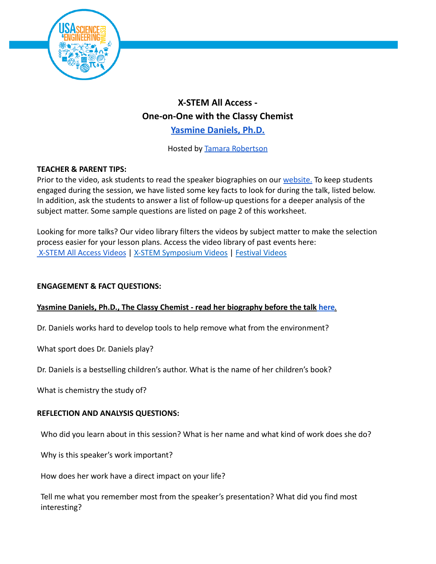

# **X-STEM All Access - One-on-One with the Classy Chemist [Yasmine](https://usasciencefestival.org/people/yasmine-daniels/) Daniels, Ph.D.**

Hosted by [Tamara Robertson](https://usasciencefestival.org/people/tamara-robertson/)

## **TEACHER & PARENT TIPS:**

Prior to the video, ask students to read the speaker biographies on our [website.](https://usasciencefestival.org/x-stem-all-access-2022/) To keep students engaged during the session, we have listed some key facts to look for during the talk, listed below. In addition, ask the students to answer a list of follow-up questions for a deeper analysis of the subject matter. Some sample questions are listed on page 2 of this worksheet.

Looking for more talks? Our video library filters the videos by subject matter to make the selection process easier for your lesson plans. Access the video library of past events here: [X-STEM All Access Videos](https://usasciencefestival.org/xstem-all-access-videos/) | [X-STEM Symposium Videos](https://usasciencefestival.org/xstem-videos/) | [Festival Videos](https://usasciencefestival.org/festival-expo-videos/)

### **ENGAGEMENT & FACT QUESTIONS:**

#### **Yasmine Daniels, Ph.D., The Classy Chemist - read her biography before the talk [here](https://usasciencefestival.org/people/yasmine-daniels/)***.*

Dr. Daniels works hard to develop tools to help remove what from the environment?

What sport does Dr. Daniels play?

Dr. Daniels is a bestselling children's author. What is the name of her children's book?

What is chemistry the study of?

#### **REFLECTION AND ANALYSIS QUESTIONS:**

Who did you learn about in this session? What is her name and what kind of work does she do?

Why is this speaker's work important?

How does her work have a direct impact on your life?

Tell me what you remember most from the speaker's presentation? What did you find most interesting?